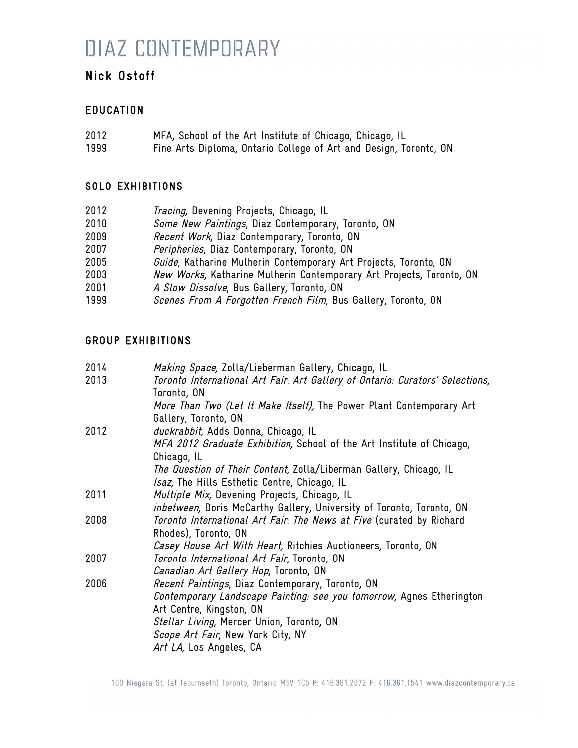# DIAZ CONTEMPORARY

### Nick Ostoff

### EDUCATION

| 2012 | MFA, School of the Art Institute of Chicago, Chicago, IL          |
|------|-------------------------------------------------------------------|
| 1999 | Fine Arts Diploma, Ontario College of Art and Design, Toronto, ON |

### SOLO EXHIBITIONS

| 2012 | Tracing, Devening Projects, Chicago, IL                              |
|------|----------------------------------------------------------------------|
| 2010 | Some New Paintings, Diaz Contemporary, Toronto, ON                   |
| 2009 | Recent Work, Diaz Contemporary, Toronto, ON                          |
| 2007 | Peripheries, Diaz Contemporary, Toronto, ON                          |
| 2005 | Guide, Katharine Mulherin Contemporary Art Projects, Toronto, ON     |
| 2003 | New Works, Katharine Mulherin Contemporary Art Projects, Toronto, ON |
| 2001 | A Slow Dissolve, Bus Gallery, Toronto, ON                            |
| 1999 | Scenes From A Forgotten French Film, Bus Gallery, Toronto, ON        |

### GROUP EXHIBITIONS

| 2014 | Making Space, Zolla/Lieberman Gallery, Chicago, IL                            |
|------|-------------------------------------------------------------------------------|
| 2013 | Toronto International Art Fair: Art Gallery of Ontario: Curators' Selections, |
|      | Toronto, ON                                                                   |
|      | More Than Two (Let It Make Itself), The Power Plant Contemporary Art          |
|      | Gallery, Toronto, ON                                                          |
| 2012 | duckrabbit, Adds Donna, Chicago, IL                                           |
|      | MFA 2012 Graduate Exhibition, School of the Art Institute of Chicago,         |
|      | Chicago, IL                                                                   |
|      | <i>The Question of Their Content,</i> Zolla/Liberman Gallery, Chicago, IL     |
|      | Isaz, The Hills Esthetic Centre, Chicago, IL                                  |
| 2011 | Multiple Mix, Devening Projects, Chicago, IL                                  |
|      | <i>inbetween,</i> Doris McCarthy Gallery, University of Toronto, Toronto, ON  |
| 2008 | Toronto International Art Fair. The News at Five (curated by Richard          |
|      | Rhodes), Toronto, ON                                                          |
|      | Casey House Art With Heart, Ritchies Auctioneers, Toronto, ON                 |
| 2007 | Toronto International Art Fair, Toronto, ON                                   |
|      | Canadian Art Gallery Hop, Toronto, ON                                         |
| 2006 | Recent Paintings, Diaz Contemporary, Toronto, ON                              |
|      | Contemporary Landscape Painting: see you tomorrow, Agnes Etherington          |
|      | Art Centre, Kingston, ON                                                      |
|      | Stellar Living, Mercer Union, Toronto, ON                                     |
|      | Scope Art Fair, New York City, NY                                             |
|      | Art LA, Los Angeles, CA                                                       |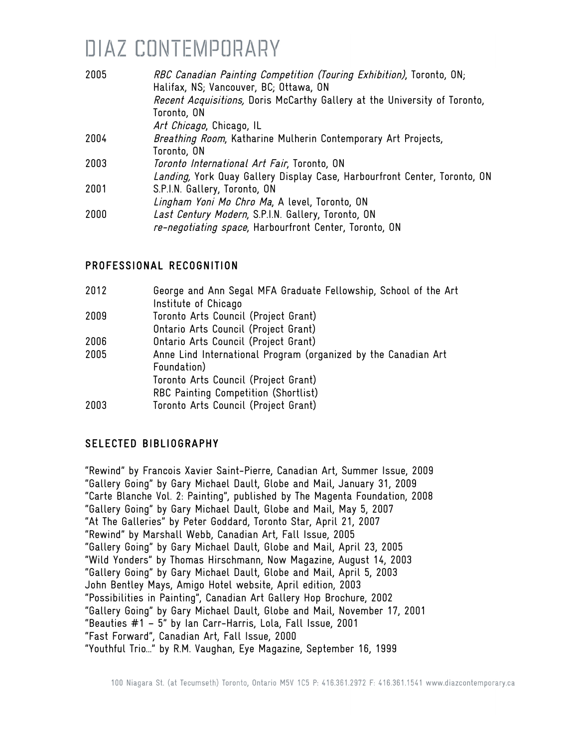# DIAZ CONTEMPORARY

| 2005 | RBC Canadian Painting Competition (Touring Exhibition), Toronto, ON;<br>Halifax, NS; Vancouver, BC; Ottawa, ON |
|------|----------------------------------------------------------------------------------------------------------------|
|      | Recent Acquisitions, Doris McCarthy Gallery at the University of Toronto,                                      |
|      | Toronto, ON                                                                                                    |
|      | Art Chicago, Chicago, IL                                                                                       |
| 2004 | Breathing Room, Katharine Mulherin Contemporary Art Projects,                                                  |
|      | Toronto, ON                                                                                                    |
| 2003 | Toronto International Art Fair, Toronto, ON                                                                    |
|      | Landing, York Quay Gallery Display Case, Harbourfront Center, Toronto, ON                                      |
| 2001 | S.P.I.N. Gallery, Toronto, ON                                                                                  |
|      | Lingham Yoni Mo Chro Ma, A level, Toronto, ON                                                                  |
| 2000 | Last Century Modern, S.P.I.N. Gallery, Toronto, ON                                                             |
|      | re-negotiating space, Harbourfront Center, Toronto, ON                                                         |

#### PROFESSIONAL RECOGNITION

| 2012 | George and Ann Segal MFA Graduate Fellowship, School of the Art |
|------|-----------------------------------------------------------------|
|      | Institute of Chicago                                            |
| 2009 | Toronto Arts Council (Project Grant)                            |
|      | Ontario Arts Council (Project Grant)                            |
| 2006 | Ontario Arts Council (Project Grant)                            |
| 2005 | Anne Lind International Program (organized by the Canadian Art  |
|      | Foundation)                                                     |
|      | Toronto Arts Council (Project Grant)                            |
|      | RBC Painting Competition (Shortlist)                            |
| 2003 | Toronto Arts Council (Project Grant)                            |

### SELECTED BIBLIOGRAPHY

"Rewind" by Francois Xavier Saint-Pierre, Canadian Art, Summer Issue, 2009 "Gallery Going" by Gary Michael Dault, Globe and Mail, January 31, 2009 "Carte Blanche Vol. 2: Painting", published by The Magenta Foundation, 2008 "Gallery Going" by Gary Michael Dault, Globe and Mail, May 5, 2007 "At The Galleries" by Peter Goddard, Toronto Star, April 21, 2007 "Rewind" by Marshall Webb, Canadian Art, Fall Issue, 2005 "Gallery Going" by Gary Michael Dault, Globe and Mail, April 23, 2005 "Wild Yonders" by Thomas Hirschmann, Now Magazine, August 14, 2003 "Gallery Going" by Gary Michael Dault, Globe and Mail, April 5, 2003 John Bentley Mays, Amigo Hotel website, April edition, 2003 "Possibilities in Painting", Canadian Art Gallery Hop Brochure, 2002 "Gallery Going" by Gary Michael Dault, Globe and Mail, November 17, 2001 "Beauties #1 – 5" by Ian Carr-Harris, Lola, Fall Issue, 2001 "Fast Forward", Canadian Art, Fall Issue, 2000 "Youthful Trio…" by R.M. Vaughan, Eye Magazine, September 16, 1999